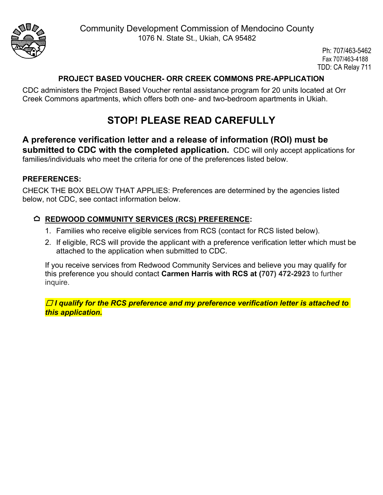

Ph: 707/463-5462 Fax 707/463-4188 TDD: CA Relay 711

### **PROJECT BASED VOUCHER- ORR CREEK COMMONS PRE-APPLICATION**

CDC administers the Project Based Voucher rental assistance program for 20 units located at Orr Creek Commons apartments, which offers both one- and two-bedroom apartments in Ukiah.

# **STOP! PLEASE READ CAREFULLY**

**A preference verification letter and a release of information (ROI) must be submitted to CDC with the completed application.** CDC will only accept applications for families/individuals who meet the criteria for one of the preferences listed below.

#### **PREFERENCES:**

CHECK THE BOX BELOW THAT APPLIES: Preferences are determined by the agencies listed below, not CDC, see contact information below.

#### **REDWOOD COMMUNITY SERVICES (RCS) PREFERENCE:**

- 1. Families who receive eligible services from RCS (contact for RCS listed below).
- 2. If eligible, RCS will provide the applicant with a preference verification letter which must be attached to the application when submitted to CDC.

If you receive services from Redwood Community Services and believe you may qualify for this preference you should contact **Carmen Harris with RCS at (707) 472-2923** to further inquire.

☐ *I qualify for the RCS preference and my preference verification letter is attached to this application.*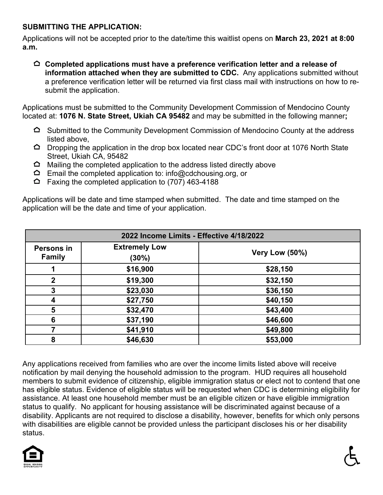#### **SUBMITTING THE APPLICATION:**

Applications will not be accepted prior to the date/time this waitlist opens on **March 23, 2021 at 8:00 a.m.**

**Completed applications must have a preference verification letter and a release of information attached when they are submitted to CDC.** Any applications submitted without a preference verification letter will be returned via first class mail with instructions on how to resubmit the application.

Applications must be submitted to the Community Development Commission of Mendocino County located at: **1076 N. State Street, Ukiah CA 95482** and may be submitted in the following manner**;**

- $\Omega$  Submitted to the Community Development Commission of Mendocino County at the address listed above,
- $\Delta$  Dropping the application in the drop box located near CDC's front door at 1076 North State Street, Ukiah CA, 95482
- $\Omega$  Mailing the completed application to the address listed directly above
- $\Delta$  Email the completed application to: info@cdchousing.org, or
- $\hat{\triangle}$  Faxing the completed application to (707) 463-4188

Applications will be date and time stamped when submitted. The date and time stamped on the application will be the date and time of your application.

| 2022 Income Limits - Effective 4/18/2022 |                               |                |  |  |  |
|------------------------------------------|-------------------------------|----------------|--|--|--|
| Persons in<br><b>Family</b>              | <b>Extremely Low</b><br>(30%) | Very Low (50%) |  |  |  |
|                                          | \$16,900                      | \$28,150       |  |  |  |
| $\mathbf 2$                              | \$19,300                      | \$32,150       |  |  |  |
| 3                                        | \$23,030                      | \$36,150       |  |  |  |
| 4                                        | \$27,750                      | \$40,150       |  |  |  |
| 5                                        | \$32,470                      | \$43,400       |  |  |  |
| 6                                        | \$37,190                      | \$46,600       |  |  |  |
|                                          | \$41,910                      | \$49,800       |  |  |  |
| 8                                        | \$46,630                      | \$53,000       |  |  |  |

Any applications received from families who are over the income limits listed above will receive notification by mail denying the household admission to the program. HUD requires all household members to submit evidence of citizenship, eligible immigration status or elect not to contend that one has eligible status. Evidence of eligible status will be requested when CDC is determining eligibility for assistance. At least one household member must be an eligible citizen or have eligible immigration status to qualify. No applicant for housing assistance will be discriminated against because of a disability. Applicants are not required to disclose a disability, however, benefits for which only persons with disabilities are eligible cannot be provided unless the participant discloses his or her disability status.

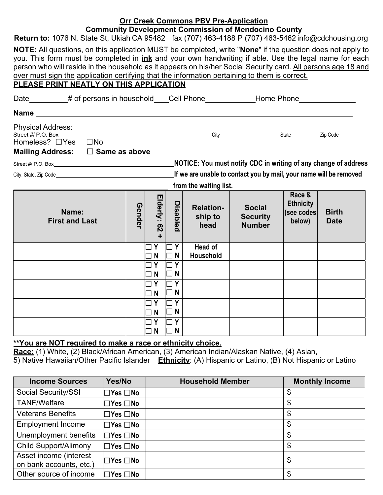#### **Orr Creek Commons PBV Pre-Application Community Development Commission of Mendocino County**

| <b>POINTMING BUTCHPHONE COMMISSION OF MUNICIPALITY COMMITT</b> |                                                                                                                            |  |  |  |  |  |  |
|----------------------------------------------------------------|----------------------------------------------------------------------------------------------------------------------------|--|--|--|--|--|--|
|                                                                | <b>Return to:</b> 1076 N. State St, Ukiah CA 95482 fax (707) 463-4188 P (707) 463-5462 info@cdchousing.org                 |  |  |  |  |  |  |
|                                                                | <b>NOTE:</b> All questions, on this application MUST be completed, write " <b>None</b> " if the question does not apply to |  |  |  |  |  |  |

you. This form must be completed in **ink** and your own handwriting if able. Use the legal name for each person who will reside in the household as it appears on his/her Social Security card. All persons age 18 and over must sign the application certifying that the information pertaining to them is correct.

## **PLEASE PRINT NEATLY ON THIS APPLICATION**

| Date _________# of persons in household ___Cell Phone ______________Home Phone _____________________ |  |                                                               |                                                                                                               |                                     |                                                                    |                                                    |                             |
|------------------------------------------------------------------------------------------------------|--|---------------------------------------------------------------|---------------------------------------------------------------------------------------------------------------|-------------------------------------|--------------------------------------------------------------------|----------------------------------------------------|-----------------------------|
|                                                                                                      |  |                                                               |                                                                                                               |                                     |                                                                    |                                                    |                             |
| Street #/ P.O. Box<br>Homeless? □Yes □No<br>Mailing Address: □ Same as above                         |  |                                                               |                                                                                                               | City                                |                                                                    | State                                              | Zip Code                    |
|                                                                                                      |  |                                                               |                                                                                                               |                                     | NOTICE: You must notify CDC in writing of any change of address    |                                                    |                             |
|                                                                                                      |  |                                                               |                                                                                                               |                                     | If we are unable to contact you by mail, your name will be removed |                                                    |                             |
|                                                                                                      |  |                                                               |                                                                                                               | from the waiting list.              |                                                                    |                                                    |                             |
| Name:<br><b>First and Last</b>                                                                       |  | Elderly: 62<br>÷.                                             | Disabled                                                                                                      | <b>Relation-</b><br>ship to<br>head | <b>Social</b><br><b>Security</b><br><b>Number</b>                  | Race &<br><b>Ethnicity</b><br>(see codes<br>below) | <b>Birth</b><br><b>Date</b> |
|                                                                                                      |  | Y<br>N                                                        | Y<br>$\blacksquare$<br>$\Box$ N                                                                               | Head of<br>Household                |                                                                    |                                                    |                             |
|                                                                                                      |  | $\Box$ Y<br>N<br>Y<br>N<br>Y<br>$\mathsf{N}$<br>$\Box$ Y<br>N | $\sqsupset$ Y<br>$\Box$ N<br>$\sqcap$ Y<br>$\Box$ N<br>$\sqsupset$ Y<br>$\Box$ N<br>$\Box$ Y<br>$\sqsupset$ N |                                     |                                                                    |                                                    |                             |

#### **\*\*You are NOT required to make a race or ethnicity choice.**

**Race:** (1) White, (2) Black/African American, (3) American Indian/Alaskan Native, (4) Asian, 5) Native Hawaiian/Other Pacific Islander **Ethnicity**: (A) Hispanic or Latino, (B) Not Hispanic or Latino

| <b>Income Sources</b>                             | Yes/No                     | <b>Household Member</b> | <b>Monthly Income</b> |
|---------------------------------------------------|----------------------------|-------------------------|-----------------------|
| Social Security/SSI                               | $\Box$ Yes $\Box$ No       |                         | \$                    |
| <b>TANF/Welfare</b>                               | $\Box$ Yes $\Box$ No       |                         | \$                    |
| <b>Veterans Benefits</b>                          | $\Box$ Yes $\Box$ No       |                         | \$                    |
| <b>Employment Income</b>                          | $\square$ Yes $\square$ No |                         | \$                    |
| Unemployment benefits                             | $\Box$ Yes $\Box$ No       |                         | \$                    |
| <b>Child Support/Alimony</b>                      | $\Box$ Yes $\Box$ No       |                         | \$                    |
| Asset income (interest<br>on bank accounts, etc.) | $\square$ Yes $\square$ No |                         | \$                    |
| Other source of income                            | ∣⊟Yes □No                  |                         | \$                    |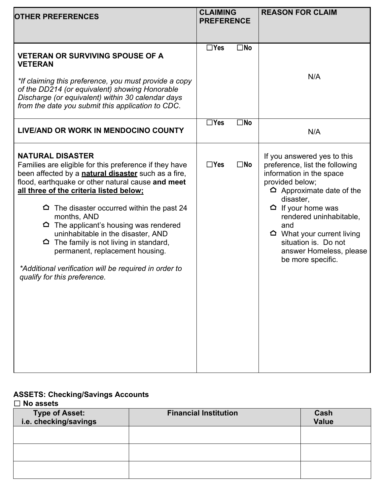| <b>OTHER PREFERENCES</b>                                                                                                                                                                                                                                                                                                                                                                                                                                                                                                                                                             |            | <b>CLAIMING</b><br><b>PREFERENCE</b> | <b>REASON FOR CLAIM</b>                                                                                                                                                                                                                                                                                                                   |
|--------------------------------------------------------------------------------------------------------------------------------------------------------------------------------------------------------------------------------------------------------------------------------------------------------------------------------------------------------------------------------------------------------------------------------------------------------------------------------------------------------------------------------------------------------------------------------------|------------|--------------------------------------|-------------------------------------------------------------------------------------------------------------------------------------------------------------------------------------------------------------------------------------------------------------------------------------------------------------------------------------------|
| <b>VETERAN OR SURVIVING SPOUSE OF A</b><br><b>VETERAN</b><br>*If claiming this preference, you must provide a copy<br>of the DD214 (or equivalent) showing Honorable<br>Discharge (or equivalent) within 30 calendar days<br>from the date you submit this application to CDC.                                                                                                                                                                                                                                                                                                       | $\Box$ Yes | $\square$ No                         | N/A                                                                                                                                                                                                                                                                                                                                       |
| LIVE/AND OR WORK IN MENDOCINO COUNTY                                                                                                                                                                                                                                                                                                                                                                                                                                                                                                                                                 | $\Box$ Yes | $\square$ No                         | N/A                                                                                                                                                                                                                                                                                                                                       |
| <b>NATURAL DISASTER</b><br>Families are eligible for this preference if they have<br>been affected by a <b>natural disaster</b> such as a fire,<br>flood, earthquake or other natural cause and meet<br>all three of the criteria listed below;<br>The disaster occurred within the past 24<br>≏<br>months, AND<br>$\Omega$ The applicant's housing was rendered<br>uninhabitable in the disaster, AND<br>$\Delta$ The family is not living in standard,<br>permanent, replacement housing.<br>*Additional verification will be required in order to<br>qualify for this preference. | $\Box$ Yes | $\square$ No                         | If you answered yes to this<br>preference, list the following<br>information in the space<br>provided below;<br>$\Delta$ Approximate date of the<br>disaster,<br>$\Delta$ If your home was<br>rendered uninhabitable,<br>and<br>$\Omega$ What your current living<br>situation is. Do not<br>answer Homeless, please<br>be more specific. |

#### **ASSETS: Checking/Savings Accounts**  ☐ **No assets**

| <b>Type of Asset:</b><br>i.e. checking/savings | <b>Financial Institution</b> | Cash<br><b>Value</b> |  |  |
|------------------------------------------------|------------------------------|----------------------|--|--|
|                                                |                              |                      |  |  |
|                                                |                              |                      |  |  |
|                                                |                              |                      |  |  |